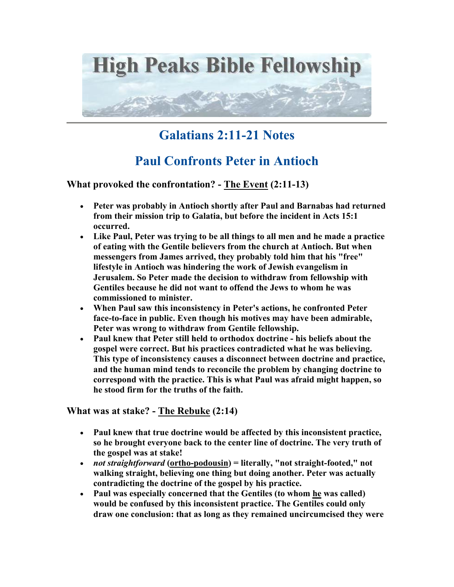

## **Galatians 2:11-21 Notes**

## **Paul Confronts Peter in Antioch**

**What provoked the confrontation? - The Event (2:11-13)** 

- **Peter was probably in Antioch shortly after Paul and Barnabas had returned from their mission trip to Galatia, but before the incident in Acts 15:1 occurred.**
- **Like Paul, Peter was trying to be all things to all men and he made a practice of eating with the Gentile believers from the church at Antioch. But when messengers from James arrived, they probably told him that his "free" lifestyle in Antioch was hindering the work of Jewish evangelism in Jerusalem. So Peter made the decision to withdraw from fellowship with Gentiles because he did not want to offend the Jews to whom he was commissioned to minister.**
- **When Paul saw this inconsistency in Peter's actions, he confronted Peter face-to-face in public. Even though his motives may have been admirable, Peter was wrong to withdraw from Gentile fellowship.**
- **Paul knew that Peter still held to orthodox doctrine his beliefs about the gospel were correct. But his practices contradicted what he was believing. This type of inconsistency causes a disconnect between doctrine and practice, and the human mind tends to reconcile the problem by changing doctrine to correspond with the practice. This is what Paul was afraid might happen, so he stood firm for the truths of the faith.**

**What was at stake? - The Rebuke (2:14)** 

- **Paul knew that true doctrine would be affected by this inconsistent practice, so he brought everyone back to the center line of doctrine. The very truth of the gospel was at stake!**
- *not straightforward* **(ortho-podousin) = literally, "not straight-footed," not walking straight, believing one thing but doing another. Peter was actually contradicting the doctrine of the gospel by his practice.**
- **Paul was especially concerned that the Gentiles (to whom he was called) would be confused by this inconsistent practice. The Gentiles could only draw one conclusion: that as long as they remained uncircumcised they were**